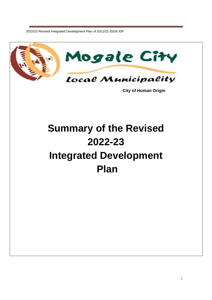

 **City of Human Origin**

# **Summary of the Revised 2022-23 Integrated Development Plan**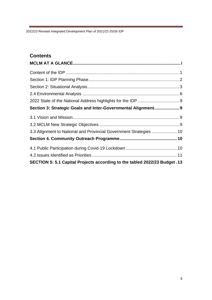## **Contents**

| Section 3: Strategic Goals and Inter-Governmental Alignment 9               |  |
|-----------------------------------------------------------------------------|--|
|                                                                             |  |
|                                                                             |  |
| 3.3 Alignment to National and Provincial Government Strategies  10          |  |
|                                                                             |  |
|                                                                             |  |
|                                                                             |  |
| SECTION 5: 5.1 Capital Projects according to the tabled 2022/23 Budget . 13 |  |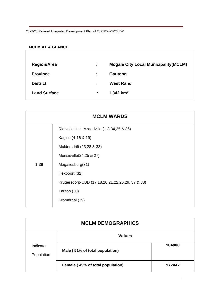#### <span id="page-2-0"></span>**MCLM AT A GLANCE**

| <b>Region/Area</b>  | ÷. | <b>Mogale City Local Municipality (MCLM)</b> |
|---------------------|----|----------------------------------------------|
| <b>Province</b>     | ÷. | Gauteng                                      |
| <b>District</b>     | ÷  | <b>West Rand</b>                             |
| <b>Land Surface</b> | ÷. | 1,342 $km^2$                                 |

|          | <b>MCLM WARDS</b>                               |
|----------|-------------------------------------------------|
|          | Rietvallei incl. Azaadville (1-3,34,35 & 36)    |
|          | Kagiso (4-16 & 19)                              |
|          | Muldersdrift (23,28 & 33)                       |
|          | Munsieville(24,25 & 27)                         |
| $1 - 39$ | Magaliesburg(31)                                |
|          | Hekpoort (32)                                   |
|          | Krugersdorp-CBD (17,18,20,21,22,26,29, 37 & 38) |
|          | Tarlton (30)                                    |
|          | Kromdraai (39)                                  |

| <b>MCLM DEMOGRAPHICS</b> |                                  |        |  |
|--------------------------|----------------------------------|--------|--|
|                          | <b>Values</b>                    |        |  |
| Indicator<br>Population  | Male (51% of total population)   | 184980 |  |
|                          | Female (49% of total population) | 177442 |  |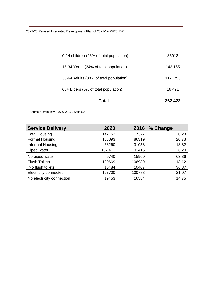| 0-14 children (23% of total population) | 86013   |
|-----------------------------------------|---------|
| 15-34 Youth (34% of total population)   | 142 165 |
| 35-64 Adults (38% of total population)  | 117 753 |
| 65+ Elders (5% of total population)     | 16 491  |
| <b>Total</b>                            | 362 422 |

Source: Community Survey 2016 , Stats SA

| <b>Service Delivery</b>   | 2020    | 2016   | % Change |
|---------------------------|---------|--------|----------|
| <b>Total Housing</b>      | 147153  | 117377 | 20,23    |
| Formal Housing            | 108893  | 86319  | 20,73    |
| Informal Housing          | 38260   | 31058  | 18,82    |
| Piped water               | 137 413 | 101415 | 26,20    |
| No piped water            | 9740    | 15960  | $-63,86$ |
| <b>Flush Toilets</b>      | 130669  | 106989 | 18,12    |
| No flush toilets          | 16484   | 10407  | 36,87    |
| Electricity connected     | 127700  | 100788 | 21,07    |
| No electricity connection | 19453   | 16584  | 14,75    |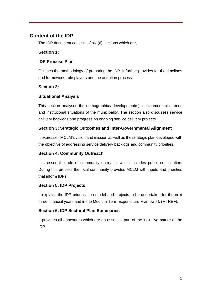## <span id="page-4-0"></span>**Content of the IDP**

The IDP document consists of six (6) sections which are,

#### **Section 1:**

#### **IDP Process Plan**

Outlines the methodology of preparing the IDP. It further provides for the timelines and framework, role players and the adoption process.

#### **Section 2:**

#### **Situational Analysis**

This section analyses the demographics development(s), socio-economic trends and institutional situations of the municipality. The section also discusses service delivery backlogs and progress on ongoing service delivery projects.

#### **Section 3: Strategic Outcomes and Inter-Governmental Alignment**

It expresses MCLM's vision and mission as well as the strategic plan developed with the objective of addressing service delivery backlogs and community priorities.

#### **Section 4: Community Outreach**

It stresses the role of community outreach, which includes public consultation. During this process the local community provides MCLM with inputs and priorities that inform IDPs.

#### **Section 5: IDP Projects**

It explains the IDP prioritisation model and projects to be undertaken for the next three financial years and in the Medium-Term Expenditure Framework (MTREF).

#### **Section 6: IDP Sectoral Plan Summaries**

It provides all annexures which are an essential part of the inclusive nature of the IDP.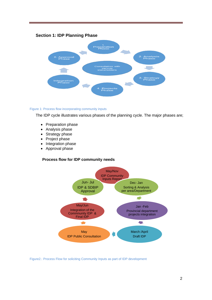#### <span id="page-5-0"></span>**Section 1: IDP Planning Phase**



#### Figure 1: Process flow incorporating community inputs

The IDP cycle illustrates various phases of the planning cycle. The major phases are;

- Preparation phase
- Analysis phase
- Strategy phase
- Project phase
- Integration phase
- Approval phase

#### **Process flow for IDP community needs**



Figure2.: Process Flow for soliciting Community Inputs as part of IDP development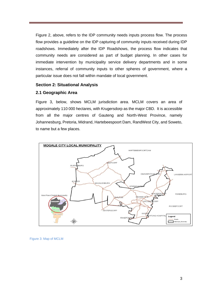Figure 2, above, refers to the IDP community needs inputs process flow. The process flow provides a guideline on the IDP capturing of community inputs received during IDP roadshows. Immediately after the IDP Roadshows, the process flow indicates that community needs are considered as part of budget planning. In other cases for immediate intervention by municipality service delivery departments and in some instances, referral of community inputs to other spheres of government, where a particular issue does not fall within mandate of local government.

#### <span id="page-6-0"></span>**Section 2: Situational Analysis**

#### **2.1 Geographic Area**

Figure 3, below, shows MCLM jurisdiction area. MCLM covers an area of approximately 110 000 hectares, with Krugersdorp as the major CBD. It is accessible from all the major centres of Gauteng and North-West Province, namely Johannesburg, Pretoria, Midrand, Hartebeespoort Dam, RandWest City, and Soweto, to name but a few places.



Figure 3: Map of MCLM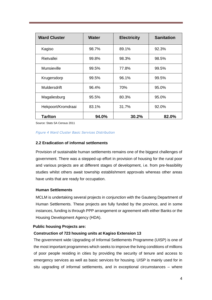| <b>Ward Cluster</b> | <b>Water</b> | <b>Electricity</b> | <b>Sanitation</b> |
|---------------------|--------------|--------------------|-------------------|
| Kagiso              | 98.7%        | 89.1%              | 92.3%             |
| Rietvallei          | 99.8%        | 98.3%              | 98.5%             |
| <b>Munsieville</b>  | 99.5%        | 77.8%              | 99.5%             |
| Krugersdorp         | 99.5%        | 96.1%              | 99.5%             |
| Muldersdrift        | 96.4%        | 70%                | 95.0%             |
| Magaliesburg        | 95.5%        | 80.3%              | 95.0%             |
| Hekpoort/Kromdraai  | 83.1%        | 31.7%              | 92.0%             |
| <b>Tarlton</b>      | 94.0%        | 30.2%              | 82.0%             |

Source: Stats SA Census 2011

#### *Figure 4 Ward Cluster Basic Services Distribution*

#### **2.2 Eradication of informal settlements**

Provision of sustainable human settlements remains one of the biggest challenges of government. There was a stepped-up effort in provision of housing for the rural poor and various projects are at different stages of development, i.e. from pre-feasibility studies whilst others await township establishment approvals whereas other areas have units that are ready for occupation.

#### **Human Settlements**

MCLM is undertaking several projects in conjunction with the Gauteng Department of Human Settlements. These projects are fully funded by the province, and in some instances, funding is through PPP arrangement or agreement with either Banks or the Housing Development Agency (HDA).

#### **Public housing Projects are:**

#### **Construction of 723 housing units at Kagiso Extension 13**

The government wide Upgrading of Informal Settlements Programme (UISP) is one of the most important programmes which seeks to improve the living conditions of millions of poor people residing in cities by providing the security of tenure and access to emergency services as well as basic services for housing. UISP is mainly used for in situ upgrading of informal settlements, and in exceptional circumstances – where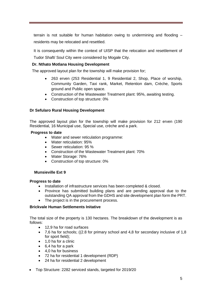terrain is not suitable for human habitation owing to undermining and flooding – residents may be relocated and resettled.

It is consequently within the context of UISP that the relocation and resettlement of

Tudor Shaft/ Soul City were considered by Mogale City.

#### **Dr. Nthato Motlana Housing Development**

The approved layout plan for the township will make provision for;

- 263 erven (253 Residential 1, 9 Residential 2, Shop, Place of worship, Community Garden, Taxi rank, Market, Retention dam, Crèche, Sports ground and Public open space.
- Construction of the Wastewater Treatment plant: 95%, awaiting testing.
- Construction of top structure: 0%

#### **Dr Sefularo Rural Housing Development**

The approved layout plan for the township will make provision for 212 erven (190 Residential, 16 Municipal use, Special use, crèche and a park.

#### **Progress to date**

- Water and sewer reticulation programme:
- Water reticulation: 95%
- Sewer reticulation: 95 %
- Construction of the Wastewater Treatment plant: 70%
- Water Storage: 76%
- Construction of top structure: 0%

#### **Munsieville Ext 9**

#### **Progress to date**

- Installation of infrastructure services has been completed & closed.
- Province has submitted building plans and are pending approval due to the outstanding QA approval from the GDHS and site development plan form the PRT.
- The project is in the procurement process.

#### **Brickvale Human Settlements Initative**

The total size of the property is 130 hectares. The breakdown of the development is as follows:

- 12,9 ha for road surfaces
- 7,6 ha for schools; ((2.8 for primary school and 4,8 for secondary inclusive of 1,8 for sport field);
- 1,0 ha for a clinic
- 6,4 ha for a park
- 4,0 ha for business
- 72 ha for residential 1 development (RDP)
- 24 ha for residential 2 development
- Top Structure: 2282 serviced stands, targeted for 2019/20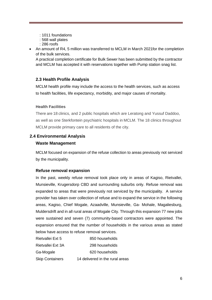- : 1011 foundations
- : 568 wall plates
- : 286 roofs
- An amount of R4, 5 million was transferred to MCLM in March 2021for the completion of the bulk services.

A practical completion certificate for Bulk Sewer has been submitted by the contractor and MCLM has accepted it with reservations together with Pump station snag list.

#### **2.3 Health Profile Analysis**

MCLM health profile may include the access to the health services, such as access to health facilities, life expectancy, morbidity, and major causes of mortality.

#### **Health Facilities**

There are 18 clinics, and 2 public hospitals which are Leratong and Yussuf Daddoo, as well as one Sterkfontein psychiatric hospitals in MCLM. The 18 clinics throughout MCLM provide primary care to all residents of the city.

#### <span id="page-9-0"></span>**2.4 Environmental Analysis**

#### **Waste Management**

MCLM focused on expansion of the refuse collection to areas previously not serviced by the municipality.

#### **Refuse removal expansion**

In the past, weekly refuse removal took place only in areas of Kagiso, Rietvallei, Munsieville, Krugersdorp CBD and surrounding suburbs only. Refuse removal was expanded to areas that were previously not serviced by the municipality. A service provider has taken over collection of refuse and to expand the service in the following areas, Kagiso, Chief Mogale, Azaadville, Munsieville, Ga- Mohale, Magaliesburg, Muldersdrift and in all rural areas of Mogale City. Through this expansion 77 new jobs were sustained and seven (7) community-based contractors were appointed. The expansion ensured that the number of households in the various areas as stated below have access to refuse removal services.

| Rietvallei Ext 5       | 850 households                  |
|------------------------|---------------------------------|
| Rietvallei Ext 3A      | 298 households                  |
| Ga-Mogale              | 620 households                  |
| <b>Skip Containers</b> | 14 delivered in the rural areas |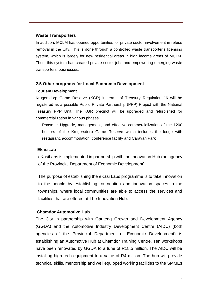#### **Waste Transporters**

In addition, MCLM has opened opportunities for private sector involvement in refuse removal in the City. This is done through a controlled waste transporter's licensing system, which is largely for new residential areas in high income areas of MCLM. Thus, this system has created private sector jobs and empowering emerging waste transporters' businesses.

## **2.5 Other programs for Local Economic Development**

#### **Tourism Development**

Krugersdorp Game Reserve (KGR) in terms of Treasury Regulation 16 will be registered as a possible Public Private Partnership (PPP) Project with the National Treasury PPP Unit. The KGR precinct will be upgraded and refurbished for commercialization in various phases.

Phase 1: Upgrade, management, and effective commercialization of the 1200 hectors of the Krugersdorp Game Reserve which includes the lodge with restaurant, accommodation, conference facility and Caravan Park

#### **EkasiLab**

eKasiLabs is implemented in partnership with the Innovation Hub (an agency of the Provincial Department of Economic Development).

The purpose of establishing the eKasi Labs programme is to take innovation to the people by establishing co-creation and innovation spaces in the townships, where local communities are able to access the services and facilities that are offered at The Innovation Hub.

#### **Chamdor Automotive Hub**

The City in partnership with Gauteng Growth and Development Agency (GGDA) and the Automotive Industry Development Centre (AIDC) (both agencies of the Provincial Department of Economic Development) is establishing an Automotive Hub at Chamdor Training Centre. Ten workshops have been renovated by GGDA to a tune of R18.5 million. The AIDC will be installing high tech equipment to a value of R4 million. The hub will provide technical skills, mentorship and well equipped working facilities to the SMMEs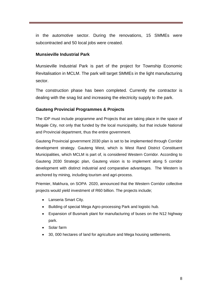in the automotive sector. During the renovations, 15 SMMEs were subcontracted and 50 local jobs were created.

#### **Munsieville Industrial Park**

Munsieville Industrial Park is part of the project for Township Economic Revitalisation in MCLM. The park will target SMMEs in the light manufacturing sector.

The construction phase has been completed. Currently the contractor is dealing with the snag list and increasing the electricity supply to the park.

#### **Gauteng Provincial Programmes & Projects**

The IDP must include programme and Projects that are taking place in the space of Mogale City, not only that funded by the local municipality, but that include National and Provincial department, thus the entire government.

Gauteng Provincial government 2030 plan is set to be implemented through Corridor development strategy. Gauteng West, which is West Rand District Constituent Municipalities, which MCLM is part of, is considered Western Corridor. According to Gauteng 2030 Strategic plan, Gauteng vision is to implement along 5 corridor development with distinct industrial and comparative advantages. The Western is anchored by mining, including tourism and agri-process.

Priemier, Makhura, on SOPA 2020, announced that the Western Corridor collective projects would yield investment of R60 billion. The projects include;

- Lanseria Smart City.
- Building of special Mega Agro-processing Park and logistic hub.
- Expansion of Busmark plant for manufacturing of buses on the N12 highway park.
- Solar farm
- 30, 000 hectares of land for agriculture and Mega housing settlements.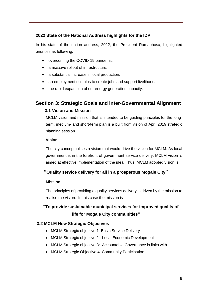#### <span id="page-12-0"></span>**2022 State of the National Address highlights for the IDP**

In his state of the nation address, 2022, the President Ramaphosa, highlighted priorities as following.

- overcoming the COVID-19 pandemic,
- a massive rollout of infrastructure,
- a substantial increase in local production,
- an employment stimulus to create jobs and support livelihoods,
- the rapid expansion of our energy generation capacity.

## <span id="page-12-2"></span><span id="page-12-1"></span>**Section 3: Strategic Goals and Inter-Governmental Alignment**

#### **3.1 Vision and Mission**

MCLM vision and mission that is intended to be guiding principles for the longterm, medium- and short-term plan is a built from vision of April 2019 strategic planning session.

#### **Vision**

The city conceptualises a vision that would drive the vision for MCLM. As local government is in the forefront of government service delivery, MCLM vision is aimed at effective implementation of the idea. Thus, MCLM adopted vision is;

## **"Quality service delivery for all in a prosperous Mogale City"**

#### **Mission**

The principles of providing a quality services delivery is driven by the mission to realise the vision. In this case the mission is

## **"To provide sustainable municipal services for improved quality of life for Mogale City communities"**

#### <span id="page-12-3"></span> **3.2 MCLM New Strategic Objectives**

- MCLM Strategic objective 1: Basic Service Delivery
- MCLM Strategic objective 2: Local Economic Development
- MCLM Strategic objective 3: Accountable Governance is links with
- MCLM Strategic Objective 4. Community Participation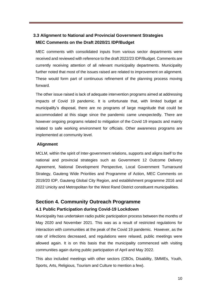## <span id="page-13-0"></span> **3.3 Alignment to National and Provincial Government Strategies MEC Comments on the Draft 2020/21 IDP/Budget**

MEC comments with consolidated inputs from various sector departments were received and reviewed with reference to the draft 2022/23 IDP/Budget. Comments are currently receiving attention of all relevant municipality departments. Municipality further noted that most of the issues raised are related to improvement on alignment. These would form part of continuous refinement of the planning process moving forward.

The other issue raised is lack of adequate intervention programs aimed at addressing impacts of Covid 19 pandemic. It is unfortunate that, with limited budget at municipality's disposal, there are no programs of large magnitude that could be accommodated at this stage since the pandemic came unexpectedly. There are however ongoing programs related to mitigation of the Covid 19 impacts and mainly related to safe working environment for officials. Other awareness programs are implemented at community level.

#### **Alignment**

MCLM, within the spirit of Inter-government relations, supports and aligns itself to the national and provincial strategies such as Government 12 Outcome Delivery Agreement, National Development Perspective, Local Government Turnaround Strategy, Gauteng Wide Priorities and Programme of Action, MEC Comments on 2019/20 IDP, Gauteng Global City Region, and establishment programme 2016 and 2022 Unicity and Metropolitan for the West Rand District constituent municipalities.

## <span id="page-13-1"></span>**Section 4. Community Outreach Programme**

#### <span id="page-13-2"></span>**4.1 Public Participation during Covid-19 Lockdown**

Municipality has undertaken radio public participation process between the months of May 2020 and November 2021. This was as a result of restricted regulations for interaction with communities at the peak of the Covid 19 pandemic. However, as the rate of infections decreased, and regulations were relaxed, public meetings were allowed again. It is on this basis that the municipality commenced with visiting communities again during public participation of April and May 2022.

This also included meetings with other sectors (CBOs, Disability, SMMEs, Youth, Sports, Arts, Religious, Tourism and Culture to mention a few).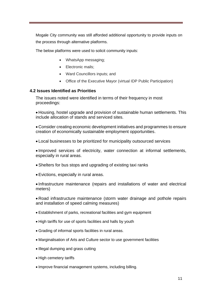Mogale City community was still afforded additional opportunity to provide inputs on the process through alternative platforms.

The below platforms were used to solicit community inputs:

- WhatsApp messaging;
- Electronic mails:
- Ward Councillors inputs; and
- Office of the Executive Mayor (virtual IDP Public Participation)

#### <span id="page-14-0"></span>**4.2 Issues Identified as Priorities**

The issues noted were identified in terms of their frequency in most proceedings:

• Housing, hostel upgrade and provision of sustainable human settlements. This include allocation of stands and serviced sites.

• Consider creating economic development initiatives and programmes to ensure creation of economically sustainable employment opportunities.

• Local businesses to be prioritized for municipality outsourced services

• Improved services of electricity, water connection at informal settlements, especially in rural areas.

- Shelters for bus stops and upgrading of existing taxi ranks
- Evictions, especially in rural areas.

• Infrastructure maintenance (repairs and installations of water and electrical meters)

• Road infrastructure maintenance (storm water drainage and pothole repairs and installation of speed calming measures)

- Establishment of parks, recreational facilities and gym equipment
- High tariffs for use of sports facilities and halls by youth
- Grading of informal sports facilities in rural areas.
- Marginalisation of Arts and Culture sector to use government facilities
- Illegal dumping and grass cutting
- High cemetery tariffs
- Improve financial management systems, including billing.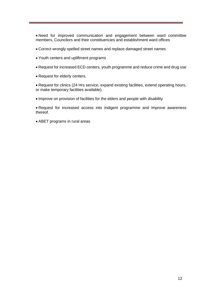• Need for improved communication and engagement between ward committee members, Councilors and their constituencies and establishment ward offices

- Correct wrongly spelled street names and replace damaged street names
- Youth centers and upliftment programs
- Request for increased ECD centers, youth programme and reduce crime and drug use
- Request for elderly centers,

• Request for clinics (24 Hrs service, expand existing facilities, extend operating hours, or make temporary facilities available).

• Improve on provision of facilities for the elders and people with disability

• Request for increased access into indigent programme and improve awareness thereof.

• ABET programs in rural areas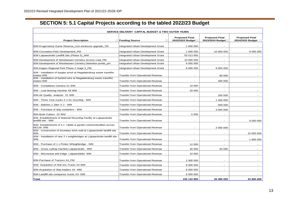## **SECTION 5: 5.1 Capital Projects according to the tabled 2022/23 Budget**

<span id="page-16-0"></span>

| SERVICE DELIVERY CAPITAL BUDGET & TWO OUTER YEARS                                        |                                              |                                           |                                             |                                              |  |
|------------------------------------------------------------------------------------------|----------------------------------------------|-------------------------------------------|---------------------------------------------|----------------------------------------------|--|
| <b>Project Description</b>                                                               | ▼ Funding Source<br>$\overline{\phantom{a}}$ | <b>Proposed Final</b><br>2022/2023 Budget | <b>Proposed Final</b><br>2023/2024 Budget - | <b>Proposed Final</b><br>2024/2025 Budget  - |  |
| IEM-Krugersdorp Game Reserve Lion enclosure upgrade TM                                   | Integrated Urban Development Grant           | 1 000 000                                 |                                             |                                              |  |
| IEM-Coronation Park Development_PM                                                       | Integrated Urban Development Grant           | 1 000 000                                 | 10 000 000                                  | 9 000 000                                    |  |
| IEM-Luipaardsvlei Landfill Site (Phase 5)_WM                                             | Integrated Urban Development Grant           | 55 013 950                                |                                             |                                              |  |
| IEM-Development of Westheaven Cemetry Access road_PM                                     | Integrated Urban Development Grant           | 10 000 000                                |                                             |                                              |  |
| IEM-Development of Westheaven Cemetry Detention ponds_pm                                 | Integrated Urban Development Grant           | 6 000 000                                 |                                             |                                              |  |
| IEM-Kagiso Regional Park Phase 2 stage 5_PM                                              | Integrated Urban Development Grant           | 8 000 000                                 | 9 000 000                                   | $\overline{a}$                               |  |
| IEM - Installation of burglar proof at Magalaiesburg waste transffer<br>station WM       | Transfer from Operational Revenue            | $\overline{\phantom{a}}$                  | 80 000                                      |                                              |  |
| IEM - Installation of barbed wire at Magalaiesburg waste transffer<br>station WM         | Transfer from Operational Revenue            |                                           | 300 000                                     |                                              |  |
| IEM - Compliance Camera X1 WM                                                            | Transfer from Operational Revenue            | 10 000                                    |                                             |                                              |  |
| IEM - Leaf blowing machine X8 WM                                                         | Transfer from Operational Revenue            | 20 000                                    | $\overline{\phantom{a}}$                    |                                              |  |
| IEM-Air Quality analyzer X1 WM                                                           | Transfer from Operational Revenue            | $\overline{\phantom{a}}$                  | 250 000                                     |                                              |  |
| IEM - Three Tons trucks X 2 for recycling - WM                                           | Transfer from Operational Revenue            | $\overline{a}$                            | 1 300 000                                   |                                              |  |
| IEM - Bakkies 1.1liter X 2 - WM                                                          | Transfer from Operational Revenue            | $\overline{a}$                            | 500 000                                     | $\overline{a}$                               |  |
| IEM - Purchase of skip containers - WM                                                   | Transfer from Operational Revenue            |                                           | 3 000 000                                   |                                              |  |
| <b>IEM-Bush Cutters X2 WM</b>                                                            | <b>Transfer from Operational Revenue</b>     | 5 000                                     |                                             |                                              |  |
| IEM -Establishment of Material Recycling Facility at Luipaardsvlei<br>landfill site - WM | Transfer from Operational Revenue            | $\overline{a}$                            | $\overline{\phantom{a}}$                    | 9 000 000                                    |  |
| IEM- Establishment of 5 x rubble & garden centres/facilities across<br>MCLM-WM           | Transfer from Operational Revenue            | $\overline{\phantom{a}}$                  | 2 000 000                                   |                                              |  |
| IEM - Construction of boundary brick wall at Luipaardsvlei landfill site<br><b>WM</b>    | Transfer from Operational Revenue            | $\overline{\phantom{a}}$                  |                                             | 15 000 000                                   |  |
| IEM - Installation of new 2 x weighbridges at Luipaardsvlei landfill site -<br><b>WM</b> | Transfer from Operational Revenue            |                                           |                                             | 1 900 000                                    |  |
| IEM - Purchase of 1 x Printer Wheighbridge - WM                                          | Transfer from Operational Revenue            | 12 000                                    | $\overline{\phantom{a}}$                    |                                              |  |
| IEM - Grass cutting machine Luipaardsvlei - WM                                           | <b>Transfer from Operational Revenue</b>     | 30 000                                    | 50 000                                      |                                              |  |
| IEM - Microwave and fridge Luipaardsblei- WM                                             | <b>Transfer from Operational Revenue</b>     | 10 000                                    |                                             |                                              |  |
| IEM-Purchase of Tractors X4_PM                                                           | Transfer from Operational Revenue            | 2 000 000                                 | $\overline{\phantom{a}}$                    |                                              |  |
| IEM- Acquisition of Roll ons Trucks X4 WM                                                | Transfer from Operational Revenue            | 8 000 000                                 |                                             |                                              |  |
| IEM-Acquisition of Skip loaders X4 WM                                                    | <b>Transfer from Operational Revenue</b>     | 8 000 000                                 |                                             |                                              |  |
| IEM-Landfill site compactor trucks X4 WM                                                 | <b>Transfer from Operational Revenue</b>     | 6 000 000                                 |                                             |                                              |  |
| Total                                                                                    |                                              | 105 110 950                               | 26 480 000                                  | 34 900 000                                   |  |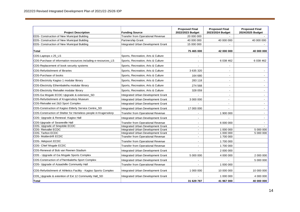<u> El segundo de la contrada de la contrada de la contrada de la contrada de la contrada de la contrada de la c</u>

÷

| <b>Project Description</b>                                      | <b>Funding Source</b>                    | <b>Proposed Final</b><br>2022/2023 Budget | <b>Proposed Final</b><br>2023/2024 Budget | <b>Proposed Final</b><br>2024/2025 Budget |
|-----------------------------------------------------------------|------------------------------------------|-------------------------------------------|-------------------------------------------|-------------------------------------------|
| EDS- Construction of New Municipal Building                     | <b>Transfer from Operational Revenue</b> | 20 000 000                                |                                           |                                           |
| EDS- Construction of New Municipal Building                     | Partnership Grant                        | 40 000 000                                | 40 000 000                                | 40 000 000                                |
| EDS- Construction of New Municipal Building                     | Integrated Urban Development Grant       | 15 000 000                                |                                           |                                           |
| <b>Total</b>                                                    |                                          | 75 465 000                                | 42 000 000                                | 40 000 000                                |
| CDS-Laptops x 25 LS                                             | Sports, Recreation, Arts & Culture       |                                           |                                           |                                           |
| CDS-Purchase of information resources including e-resources_LS  | Sports, Recreation, Arts & Culture       |                                           | 6 038 462                                 | 6 038 462                                 |
| CDS-Replacement of book security systems                        | Sports, Recreation, Arts & Culture       |                                           |                                           |                                           |
| CDS-Refurbishment of libraries                                  | Sports, Recreation, Arts & Culture       | 3 635 320                                 | $\overline{\phantom{a}}$                  |                                           |
| <b>CDS-Purchase of books</b>                                    | Sports, Recreation, Arts & Culture       | 164 680                                   | $\blacksquare$                            |                                           |
| CDS-Electricity Kagiso 1 modular library                        | Sports, Recreation, Arts & Culture       | 283 118                                   | $\blacksquare$                            |                                           |
| CDS-Electricity Ethembalethu modular library                    | Sports, Recreation, Arts & Culture       | 274 568                                   | $\overline{\phantom{a}}$                  | $\overline{\phantom{a}}$                  |
| CDS-Electricity Rietvallei modular library                      | Sports, Recreation, Arts & Culture       | 328 059                                   | $\overline{\phantom{a}}$                  |                                           |
| CDS-Ga Mogale ECDC Upgrade & extension_SD                       | Integrated Urban Development Grant       |                                           | $\overline{\phantom{a}}$                  |                                           |
| CDS-Refurbishment of Krugersdorp Museum                         | Integrated Urban Development Grant       | 3 000 000                                 | $\overline{a}$                            |                                           |
| CDS-Rietvallei ext 2&3 Sport Complex                            | Integrated Urban Development Grant       |                                           | $\overline{\phantom{a}}$                  | $\mathbf{r}$                              |
| CDS-Construction of Kagiso Elderly Service Centre_SD            | Integrated Urban Development Grant       | 17 000 000                                | $\blacksquare$                            | $\overline{\phantom{a}}$                  |
| CDS-Construction of Shelter for Homeless people in Krugersdorp  | <b>Transfer from Operational Revenue</b> |                                           | 1 900 000                                 |                                           |
| CDS- Upgrade & Renewal : Kagiso Hall                            | Integrated Urban Development Grant       | $\overline{\phantom{a}}$                  |                                           |                                           |
| <b>CDS-Upgrade of Swaneville Hall</b>                           | <b>Transfer from Operational Revenue</b> | $\blacksquare$                            | 6 000 000                                 |                                           |
| CDS- Upgrade of Sinqobile ECDC                                  | Integrated Urban Development Grant       | $\overline{\phantom{a}}$                  |                                           |                                           |
| CDS- Rietvallei ECDC                                            | Integrated Urban Development Grant       | $\overline{a}$                            | 1 000 000                                 | 5 000 000                                 |
| CDS- Tarlton ECDC                                               | Integrated Urban Development Grant       | $\blacksquare$                            | 1 000 000                                 | 5 000 000                                 |
| <b>CDS- Mulderdrift ECDC</b>                                    | <b>Transfer from Operational Revenue</b> |                                           | 1700 000                                  |                                           |
| CDS- Hekpoort ECDC                                              | <b>Transfer from Operational Revenue</b> | $\overline{a}$                            | 1700 000                                  |                                           |
| CDS- Chief Mogale ECDC                                          | <b>Transfer from Operational Revenue</b> | $\blacksquare$                            | 1700 000                                  |                                           |
| CDS-Renewal of Bob van Reenen Stadium                           | Integrated Urban Development Grant       |                                           | 2 000 000                                 |                                           |
| CDS - Upgrade of Ga Mogale Sports Complex                       | Integrated Urban Development Grant       | 5 000 000                                 | 4 000 000                                 | 2 000 000                                 |
| CDS-Construction of eThembalethu Sport Complex                  | Integrated Urban Development Grant       |                                           |                                           | 5 000 000                                 |
| CDS- Upgrade of Azaadville Community Hall                       | <b>Transfer from Operational Revenue</b> |                                           | 1 000 000                                 |                                           |
| CDS-Refurbishment of Athletics Facility - Kagiso Sports Complex | Integrated Urban Development Grant       | 1 000 000                                 | 10 000 000                                | 10 000 000                                |
| CDS_Upgrade & extention of Ext 12 Community Hall_SD             | Integrated Urban Development Grant       |                                           | 1 000 000                                 | 4 000 000                                 |
| <b>Total</b>                                                    |                                          | 31 629 787                                | 41 967 000                                | 40 000 000                                |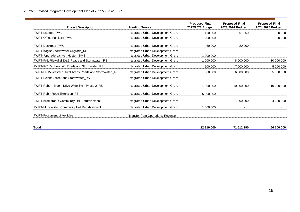| <b>Project Description</b>                             | <b>Funding Source</b>                    | <b>Proposed Final</b><br>2022/2023 Budget | <b>Proposed Final</b><br>2023/2024 Budget | <b>Proposed Final</b><br>2024/2025 Budget |
|--------------------------------------------------------|------------------------------------------|-------------------------------------------|-------------------------------------------|-------------------------------------------|
| PWRT-Laptops_PMU                                       | Integrated Urban Development Grant       | 150 000                                   | 61 250                                    | 100 000                                   |
| PWRT-Office Furniture_PMU                              | Integrated Urban Development Grant       | 200 000                                   |                                           | 100 000                                   |
| PWRT-Desktops PMU                                      | Integrated Urban Development Grant       | 60 000                                    | 20 000                                    |                                           |
| PWRT-Kagiso Stormwater Upgrade_RS                      | Integrated Urban Development Grant       |                                           |                                           |                                           |
| PWRT- Upgrade Lanwen Hostel_ BMS                       | Integrated Urban Development Grant       | 1 000 000                                 |                                           |                                           |
| PWRT-Pr5: Rietvallei Ext.5 Roads and Stormwater RS     | Integrated Urban Development Grant       | 1 000 000                                 | 8 000 000                                 | 10 000 000                                |
| PWRT-Pr7: Muldersdrift Roads and Stormwater RS         | Integrated Urban Development Grant       | 500 000                                   | 7 000 000                                 | 5 000 000                                 |
| PWRT-PR15 Western Rural Areas Roads and Stormwater _RS | Integrated Urban Development Grant       | 500 000                                   | 6 000 000                                 | 5 000 000                                 |
| PWRT-Helena Street and Stormwater_RS                   | Integrated Urban Development Grant       |                                           |                                           |                                           |
| PWRT-Robert Broom Drive Widening - Phase 2_RS          | Integrated Urban Development Grant       | 1 000 000                                 | 10 000 000                                | 10 000 000                                |
| <b>PWRT-Robin Road Extension RS</b>                    | Integrated Urban Development Grant       | 5 000 000                                 |                                           |                                           |
| PWRT-Kromdraai: Community Hall Refurbishment           | Integrated Urban Development Grant       |                                           | 1 000 000                                 | 4 000 000                                 |
| PWRT-Munsieville : Community Hall Refurbishment        | Integrated Urban Development Grant       | 1 000 000                                 |                                           |                                           |
| <b>PWRT-Procument of Vehicles</b>                      | <b>Transfer from Operational Revenue</b> | $\blacksquare$                            |                                           |                                           |
| Total                                                  |                                          | 22 910 000                                | 71 612 190                                | 66 200 000                                |